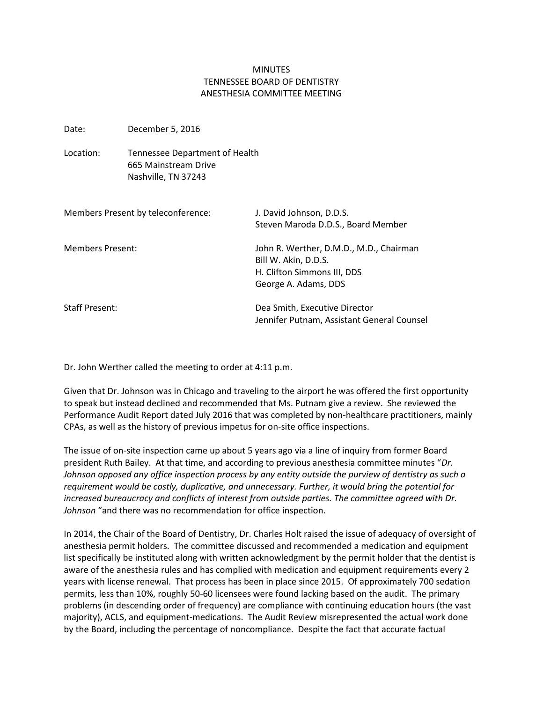## **MINUTES** TENNESSEE BOARD OF DENTISTRY ANESTHESIA COMMITTEE MEETING

Date: December 5, 2016 Location: Tennessee Department of Health 665 Mainstream Drive Nashville, TN 37243 Members Present by teleconference: J. David Johnson, D.D.S. Steven Maroda D.D.S., Board Member Members Present: John R. Werther, D.M.D., M.D., Chairman Bill W. Akin, D.D.S. H. Clifton Simmons III, DDS George A. Adams, DDS Staff Present: Dea Smith, Executive Director Jennifer Putnam, Assistant General Counsel

Dr. John Werther called the meeting to order at 4:11 p.m.

Given that Dr. Johnson was in Chicago and traveling to the airport he was offered the first opportunity to speak but instead declined and recommended that Ms. Putnam give a review. She reviewed the Performance Audit Report dated July 2016 that was completed by non-healthcare practitioners, mainly CPAs, as well as the history of previous impetus for on-site office inspections.

The issue of on-site inspection came up about 5 years ago via a line of inquiry from former Board president Ruth Bailey. At that time, and according to previous anesthesia committee minutes "*Dr. Johnson opposed any office inspection process by any entity outside the purview of dentistry as such a requirement would be costly, duplicative, and unnecessary. Further, it would bring the potential for increased bureaucracy and conflicts of interest from outside parties. The committee agreed with Dr. Johnson* "and there was no recommendation for office inspection.

In 2014, the Chair of the Board of Dentistry, Dr. Charles Holt raised the issue of adequacy of oversight of anesthesia permit holders. The committee discussed and recommended a medication and equipment list specifically be instituted along with written acknowledgment by the permit holder that the dentist is aware of the anesthesia rules and has complied with medication and equipment requirements every 2 years with license renewal. That process has been in place since 2015. Of approximately 700 sedation permits, less than 10%, roughly 50-60 licensees were found lacking based on the audit. The primary problems (in descending order of frequency) are compliance with continuing education hours (the vast majority), ACLS, and equipment-medications. The Audit Review misrepresented the actual work done by the Board, including the percentage of noncompliance. Despite the fact that accurate factual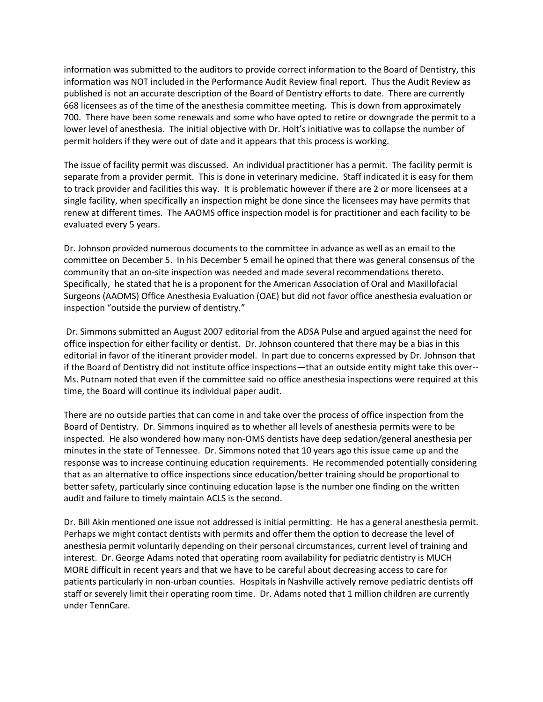information was submitted to the auditors to provide correct information to the Board of Dentistry, this information was NOT included in the Performance Audit Review final report. Thus the Audit Review as published is not an accurate description of the Board of Dentistry efforts to date. There are currently 668 licensees as of the time of the anesthesia committee meeting. This is down from approximately 700. There have been some renewals and some who have opted to retire or downgrade the permit to a lower level of anesthesia. The initial objective with Dr. Holt's initiative was to collapse the number of permit holders if they were out of date and it appears that this process is working.

The issue of facility permit was discussed. An individual practitioner has a permit. The facility permit is separate from a provider permit. This is done in veterinary medicine. Staff indicated it is easy for them to track provider and facilities this way. It is problematic however if there are 2 or more licensees at a single facility, when specifically an inspection might be done since the licensees may have permits that renew at different times. The AAOMS office inspection model is for practitioner and each facility to be evaluated every 5 years.

Dr. Johnson provided numerous documents to the committee in advance as well as an email to the committee on December 5. In his December 5 email he opined that there was general consensus of the community that an on-site inspection was needed and made several recommendations thereto. Specifically, he stated that he is a proponent for the American Association of Oral and Maxillofacial Surgeons (AAOMS) Office Anesthesia Evaluation (OAE) but did not favor office anesthesia evaluation or inspection "outside the purview of dentistry."

Dr. Simmons submitted an August 2007 editorial from the ADSA Pulse and argued against the need for office inspection for either facility or dentist. Dr. Johnson countered that there may be a bias in this editorial in favor of the itinerant provider model. In part due to concerns expressed by Dr. Johnson that if the Board of Dentistry did not institute office inspections—that an outside entity might take this over-- Ms. Putnam noted that even if the committee said no office anesthesia inspections were required at this time, the Board will continue its individual paper audit.

There are no outside parties that can come in and take over the process of office inspection from the Board of Dentistry. Dr. Simmons inquired as to whether all levels of anesthesia permits were to be inspected. He also wondered how many non-OMS dentists have deep sedation/general anesthesia per minutes in the state of Tennessee. Dr. Simmons noted that 10 years ago this issue came up and the response was to increase continuing education requirements. He recommended potentially considering that as an alternative to office inspections since education/better training should be proportional to better safety, particularly since continuing education lapse is the number one finding on the written audit and failure to timely maintain ACLS is the second.

Dr. Bill Akin mentioned one issue not addressed is initial permitting. He has a general anesthesia permit. Perhaps we might contact dentists with permits and offer them the option to decrease the level of anesthesia permit voluntarily depending on their personal circumstances, current level of training and interest. Dr. George Adams noted that operating room availability for pediatric dentistry is MUCH MORE difficult in recent years and that we have to be careful about decreasing access to care for patients particularly in non-urban counties. Hospitals in Nashville actively remove pediatric dentists off staff or severely limit their operating room time. Dr. Adams noted that 1 million children are currently under TennCare.